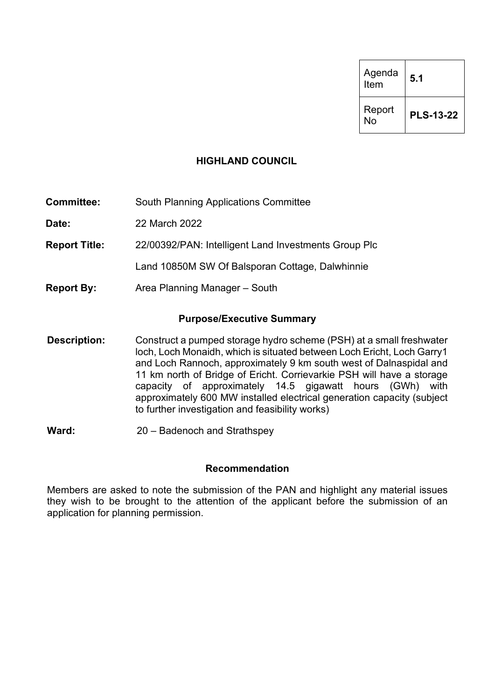| Agenda<br>Item | 5.1              |
|----------------|------------------|
| Report<br>No   | <b>PLS-13-22</b> |

## **HIGHLAND COUNCIL**

**Committee:** South Planning Applications Committee

**Date:** 22 March 2022

**Report Title:** 22/00392/PAN: Intelligent Land Investments Group Plc

Land 10850M SW Of Balsporan Cottage, Dalwhinnie

**Report By:** Area Planning Manager – South

## **Purpose/Executive Summary**

- **Description:** Construct a pumped storage hydro scheme (PSH) at a small freshwater loch, Loch Monaidh, which is situated between Loch Ericht, Loch Garry1 and Loch Rannoch, approximately 9 km south west of Dalnaspidal and 11 km north of Bridge of Ericht. Corrievarkie PSH will have a storage capacity of approximately 14.5 gigawatt hours (GWh) with approximately 600 MW installed electrical generation capacity (subject to further investigation and feasibility works)
- **Ward:** 20 Badenoch and Strathspey

#### **Recommendation**

Members are asked to note the submission of the PAN and highlight any material issues they wish to be brought to the attention of the applicant before the submission of an application for planning permission.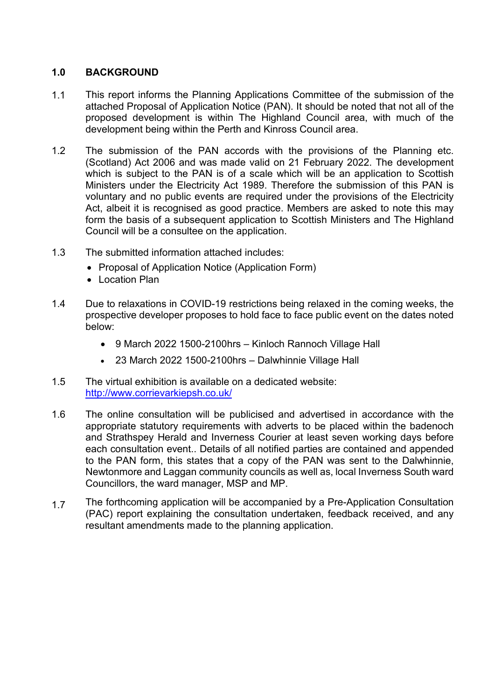## **1.0 BACKGROUND**

- 1.1 This report informs the Planning Applications Committee of the submission of the attached Proposal of Application Notice (PAN). It should be noted that not all of the proposed development is within The Highland Council area, with much of the development being within the Perth and Kinross Council area.
- 1.2 The submission of the PAN accords with the provisions of the Planning etc. (Scotland) Act 2006 and was made valid on 21 February 2022. The development which is subject to the PAN is of a scale which will be an application to Scottish Ministers under the Electricity Act 1989. Therefore the submission of this PAN is voluntary and no public events are required under the provisions of the Electricity Act, albeit it is recognised as good practice. Members are asked to note this may form the basis of a subsequent application to Scottish Ministers and The Highland Council will be a consultee on the application.
- 1.3 The submitted information attached includes:
	- Proposal of Application Notice (Application Form)
	- Location Plan
- 1.4 Due to relaxations in COVID-19 restrictions being relaxed in the coming weeks, the prospective developer proposes to hold face to face public event on the dates noted below:
	- 9 March 2022 1500-2100hrs Kinloch Rannoch Village Hall
	- 23 March 2022 1500-2100hrs Dalwhinnie Village Hall
- 1.5 The virtual exhibition is available on a dedicated website: <http://www.corrievarkiepsh.co.uk/>
- 1.6 The online consultation will be publicised and advertised in accordance with the appropriate statutory requirements with adverts to be placed within the badenoch and Strathspey Herald and Inverness Courier at least seven working days before each consultation event.. Details of all notified parties are contained and appended to the PAN form, this states that a copy of the PAN was sent to the Dalwhinnie, Newtonmore and Laggan community councils as well as, local Inverness South ward Councillors, the ward manager, MSP and MP.
- 1.7 The forthcoming application will be accompanied by a Pre-Application Consultation (PAC) report explaining the consultation undertaken, feedback received, and any resultant amendments made to the planning application.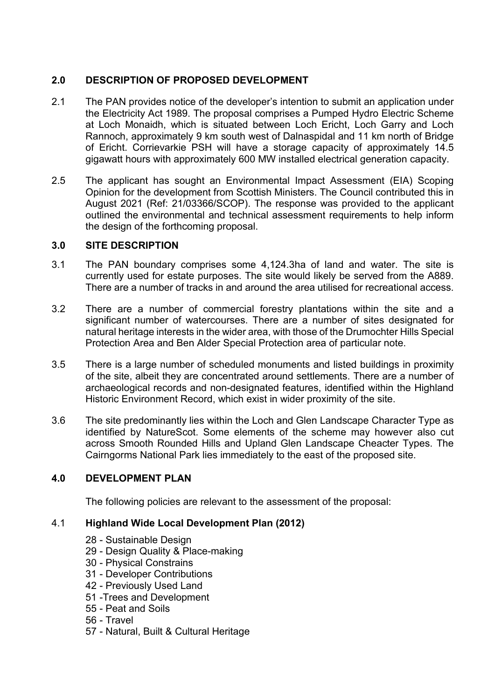## **2.0 DESCRIPTION OF PROPOSED DEVELOPMENT**

- 2.1 The PAN provides notice of the developer's intention to submit an application under the Electricity Act 1989. The proposal comprises a Pumped Hydro Electric Scheme at Loch Monaidh, which is situated between Loch Ericht, Loch Garry and Loch Rannoch, approximately 9 km south west of Dalnaspidal and 11 km north of Bridge of Ericht. Corrievarkie PSH will have a storage capacity of approximately 14.5 gigawatt hours with approximately 600 MW installed electrical generation capacity.
- 2.5 The applicant has sought an Environmental Impact Assessment (EIA) Scoping Opinion for the development from Scottish Ministers. The Council contributed this in August 2021 (Ref: 21/03366/SCOP). The response was provided to the applicant outlined the environmental and technical assessment requirements to help inform the design of the forthcoming proposal.

## **3.0 SITE DESCRIPTION**

- 3.1 The PAN boundary comprises some 4,124.3ha of land and water. The site is currently used for estate purposes. The site would likely be served from the A889. There are a number of tracks in and around the area utilised for recreational access.
- 3.2 There are a number of commercial forestry plantations within the site and a significant number of watercourses. There are a number of sites designated for natural heritage interests in the wider area, with those of the Drumochter Hills Special Protection Area and Ben Alder Special Protection area of particular note.
- 3.5 There is a large number of scheduled monuments and listed buildings in proximity of the site, albeit they are concentrated around settlements. There are a number of archaeological records and non-designated features, identified within the Highland Historic Environment Record, which exist in wider proximity of the site.
- 3.6 The site predominantly lies within the Loch and Glen Landscape Character Type as identified by NatureScot. Some elements of the scheme may however also cut across Smooth Rounded Hills and Upland Glen Landscape Cheacter Types. The Cairngorms National Park lies immediately to the east of the proposed site.

# **4.0 DEVELOPMENT PLAN**

The following policies are relevant to the assessment of the proposal:

## 4.1 **Highland Wide Local Development Plan (2012)**

- 28 Sustainable Design
- 29 Design Quality & Place-making
- 30 Physical Constrains
- 31 Developer Contributions
- 42 Previously Used Land
- 51 -Trees and Development
- 55 Peat and Soils
- 56 Travel
- 57 Natural, Built & Cultural Heritage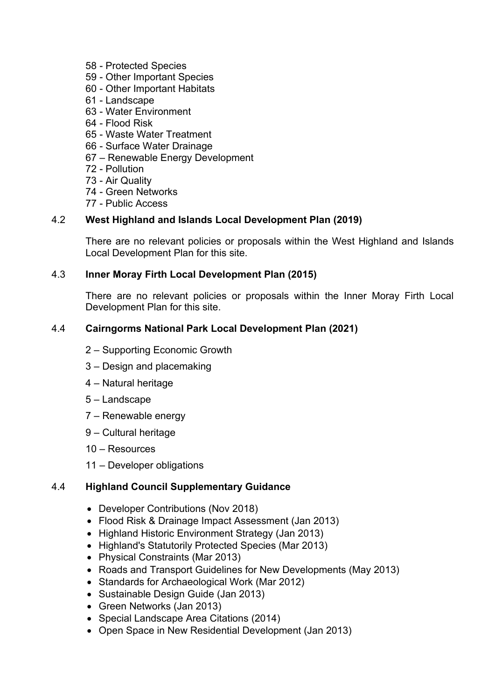- 58 Protected Species
- 59 Other Important Species
- 60 Other Important Habitats
- 61 Landscape
- 63 Water Environment
- 64 Flood Risk
- 65 Waste Water Treatment
- 66 Surface Water Drainage
- 67 Renewable Energy Development
- 72 Pollution
- 73 Air Quality
- 74 Green Networks
- 77 Public Access

## 4.2 **West Highland and Islands Local Development Plan (2019)**

There are no relevant policies or proposals within the West Highland and Islands Local Development Plan for this site.

### 4.3 **Inner Moray Firth Local Development Plan (2015)**

There are no relevant policies or proposals within the Inner Moray Firth Local Development Plan for this site.

## 4.4 **Cairngorms National Park Local Development Plan (2021)**

- 2 Supporting Economic Growth
- 3 Design and placemaking
- 4 Natural heritage
- 5 Landscape
- 7 Renewable energy
- 9 Cultural heritage
- 10 Resources
- 11 Developer obligations

## 4.4 **Highland Council Supplementary Guidance**

- Developer Contributions (Nov 2018)
- Flood Risk & Drainage Impact Assessment (Jan 2013)
- Highland Historic Environment Strategy (Jan 2013)
- Highland's Statutorily Protected Species (Mar 2013)
- Physical Constraints (Mar 2013)
- Roads and Transport Guidelines for New Developments (May 2013)
- Standards for Archaeological Work (Mar 2012)
- Sustainable Design Guide (Jan 2013)
- Green Networks (Jan 2013)
- Special Landscape Area Citations (2014)
- Open Space in New Residential Development (Jan 2013)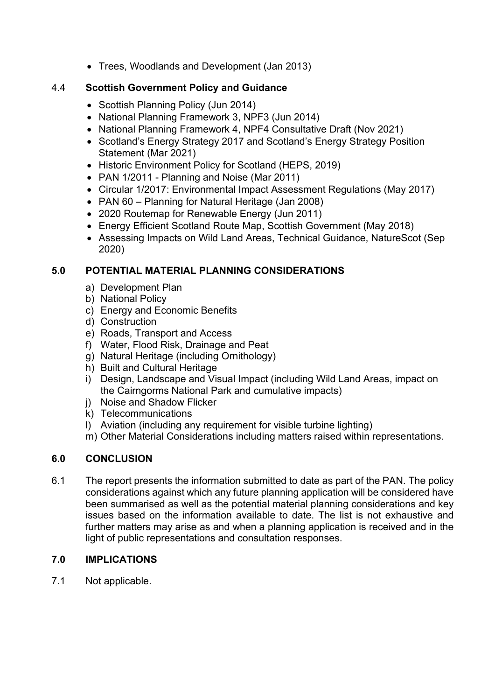• Trees, Woodlands and Development (Jan 2013)

## 4.4 **Scottish Government Policy and Guidance**

- Scottish Planning Policy (Jun 2014)
- National Planning Framework 3, NPF3 (Jun 2014)
- National Planning Framework 4, NPF4 Consultative Draft (Nov 2021)
- Scotland's Energy Strategy 2017 and Scotland's Energy Strategy Position Statement (Mar 2021)
- Historic Environment Policy for Scotland (HEPS, 2019)
- PAN 1/2011 Planning and Noise (Mar 2011)
- Circular 1/2017: Environmental Impact Assessment Regulations (May 2017)
- PAN 60 Planning for Natural Heritage (Jan 2008)
- 2020 Routemap for Renewable Energy (Jun 2011)
- Energy Efficient Scotland Route Map, Scottish Government (May 2018)
- Assessing Impacts on Wild Land Areas, Technical Guidance, NatureScot (Sep 2020)

## **5.0 POTENTIAL MATERIAL PLANNING CONSIDERATIONS**

- a) Development Plan
- b) National Policy
- c) Energy and Economic Benefits
- d) Construction
- e) Roads, Transport and Access
- f) Water, Flood Risk, Drainage and Peat
- g) Natural Heritage (including Ornithology)
- h) Built and Cultural Heritage
- i) Design, Landscape and Visual Impact (including Wild Land Areas, impact on the Cairngorms National Park and cumulative impacts)
- j) Noise and Shadow Flicker
- k) Telecommunications
- l) Aviation (including any requirement for visible turbine lighting)
- m) Other Material Considerations including matters raised within representations.

# **6.0 CONCLUSION**

6.1 The report presents the information submitted to date as part of the PAN. The policy considerations against which any future planning application will be considered have been summarised as well as the potential material planning considerations and key issues based on the information available to date. The list is not exhaustive and further matters may arise as and when a planning application is received and in the light of public representations and consultation responses.

# **7.0 IMPLICATIONS**

7.1 Not applicable.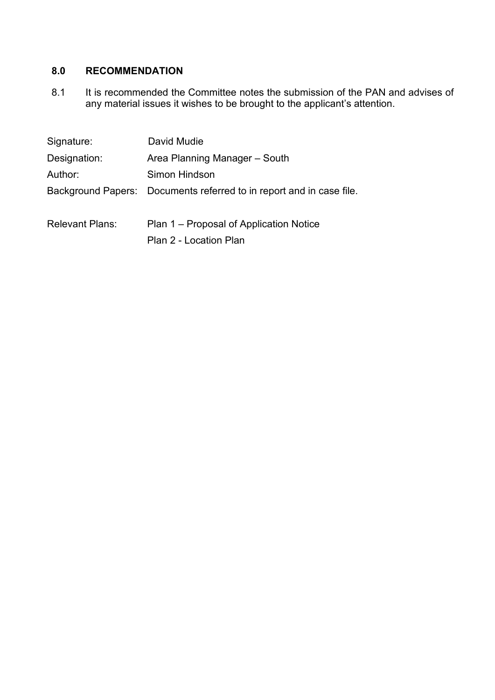# **8.0 RECOMMENDATION**

8.1 It is recommended the Committee notes the submission of the PAN and advises of any material issues it wishes to be brought to the applicant's attention.

| Signature:             | David Mudie                                                          |
|------------------------|----------------------------------------------------------------------|
| Designation:           | Area Planning Manager - South                                        |
| Author:                | Simon Hindson                                                        |
|                        | Background Papers: Documents referred to in report and in case file. |
| <b>Relevant Plans:</b> | Plan 1 – Proposal of Application Notice<br>Plan 2 - Location Plan    |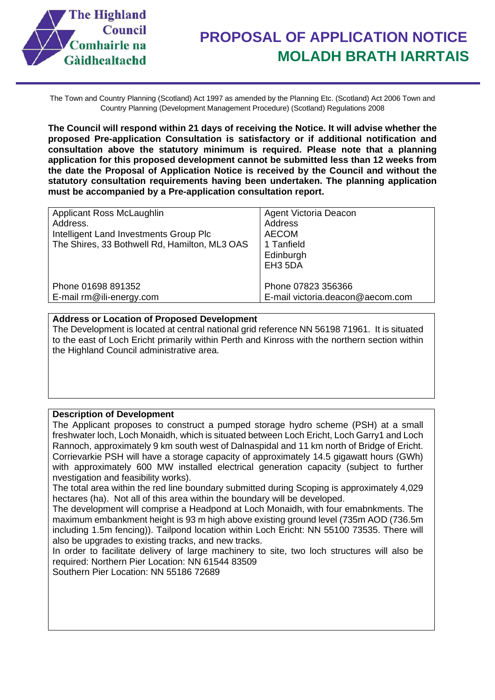

The Town and Country Planning (Scotland) Act 1997 as amended by the Planning Etc. (Scotland) Act 2006 Town and Country Planning (Development Management Procedure) (Scotland) Regulations 2008

**The Council will respond within 21 days of receiving the Notice. It will advise whether the proposed Pre-application Consultation is satisfactory or if additional notification and consultation above the statutory minimum is required. Please note that a planning application for this proposed development cannot be submitted less than 12 weeks from the date the Proposal of Application Notice is received by the Council and without the statutory consultation requirements having been undertaken. The planning application must be accompanied by a Pre-application consultation report.** 

### **Address or Location of Proposed Development**

The Development is located at central national grid reference NN 56198 71961. It is situated to the east of Loch Ericht primarily within Perth and Kinross with the northern section within the Highland Council administrative area.

#### **Description of Development**

The Applicant proposes to construct a pumped storage hydro scheme (PSH) at a small freshwater loch, Loch Monaidh, which is situated between Loch Ericht, Loch Garry1 and Loch Rannoch, approximately 9 km south west of Dalnaspidal and 11 km north of Bridge of Ericht. Corrievarkie PSH will have a storage capacity of approximately 14.5 gigawatt hours (GWh) with approximately 600 MW installed electrical generation capacity (subject to further nvestigation and feasibility works).

The total area within the red line boundary submitted during Scoping is approximately 4,029 hectares (ha). Not all of this area within the boundary will be developed.

The development will comprise a Headpond at Loch Monaidh, with four emabnkments. The maximum embankment height is 93 m high above existing ground level (735m AOD (736.5m including 1.5m fencing)). Tailpond location within Loch Ericht: NN 55100 73535. There will also be upgrades to existing tracks, and new tracks.

In order to facilitate delivery of large machinery to site, two loch structures will also be required: Northern Pier Location: NN 61544 83509

Southern Pier Location: NN 55186 72689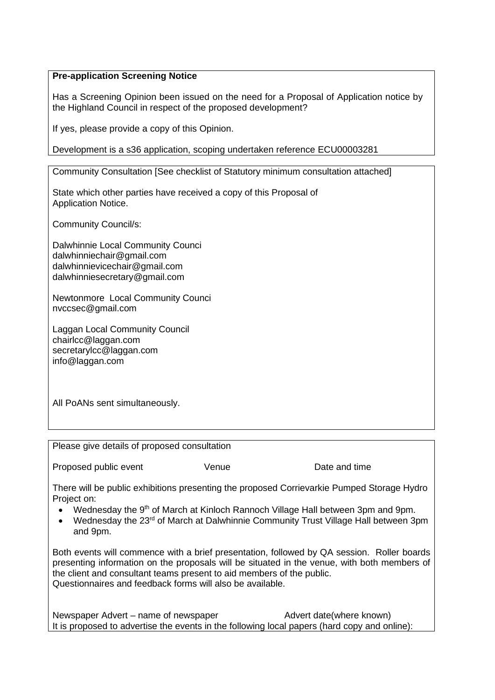### **Pre-application Screening Notice**

Has a Screening Opinion been issued on the need for a Proposal of Application notice by the Highland Council in respect of the proposed development?

If yes, please provide a copy of this Opinion.

Development is a s36 application, scoping undertaken reference ECU00003281

Community Consultation [See checklist of Statutory minimum consultation attached]

State which other parties have received a copy of this Proposal of Application Notice.

Community Council/s:

Dalwhinnie Local Community Counci dalwhinniechair@gmail.com dalwhinnievicechair@gmail.com dalwhinniesecretary@gmail.com

Newtonmore Local Community Counci nvccsec@gmail.com

Laggan Local Community Council chairlcc@laggan.com secretarylcc@laggan.com info@laggan.com

All PoANs sent simultaneously.

Please give details of proposed consultation

Proposed public event The Venue Communication Date and time

There will be public exhibitions presenting the proposed Corrievarkie Pumped Storage Hydro Project on:

- Wednesday the 9<sup>th</sup> of March at Kinloch Rannoch Village Hall between 3pm and 9pm.
- Wednesday the 23<sup>rd</sup> of March at Dalwhinnie Community Trust Village Hall between 3pm and 9pm.

Both events will commence with a brief presentation, followed by QA session. Roller boards presenting information on the proposals will be situated in the venue, with both members of the client and consultant teams present to aid members of the public. Questionnaires and feedback forms will also be available.

Newspaper Advert – name of newspaper Advert date(where known) It is proposed to advertise the events in the following local papers (hard copy and online):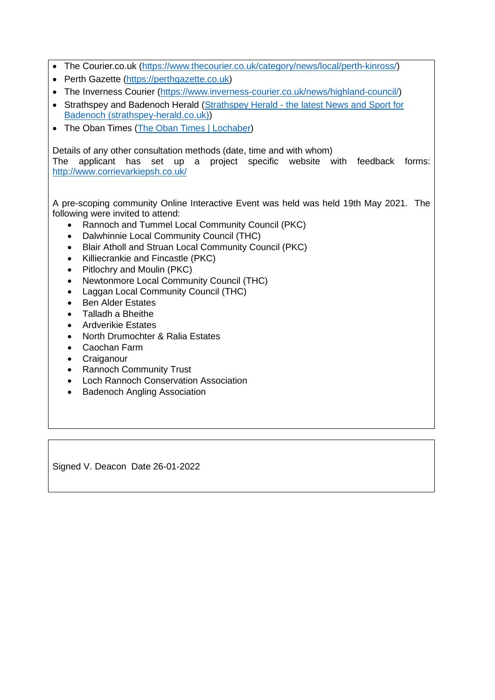- The Courier.co.uk [\(https://www.thecourier.co.uk/category/news/local/perth-kinross/\)](https://www.thecourier.co.uk/category/news/local/perth-kinross/)
- Perth Gazette [\(https://perthgazette.co.uk\)](https://perthgazette.co.uk/)
- The Inverness Courier [\(https://www.inverness-courier.co.uk/news/highland-council/\)](https://www.inverness-courier.co.uk/news/highland-council/)
- Strathspey and Badenoch Herald [\(Strathspey Herald the latest News and Sport for](https://www.strathspey-herald.co.uk/) [Badenoch \(strathspey-herald.co.uk\)\)](https://www.strathspey-herald.co.uk/)
- The Oban Times [\(The Oban Times | Lochaber\)](https://www.obantimes.co.uk/lochaber-2/)

Details of any other consultation methods (date, time and with whom)

The applicant has set up a project specific website with feedback forms: <http://www.corrievarkiepsh.co.uk/>

A pre-scoping community Online Interactive Event was held was held 19th May 2021. The following were invited to attend:

- Rannoch and Tummel Local Community Council (PKC)
- Dalwhinnie Local Community Council (THC)
- Blair Atholl and Struan Local Community Council (PKC)
- Killiecrankie and Fincastle (PKC)
- Pitlochry and Moulin (PKC)
- Newtonmore Local Community Council (THC)
- Laggan Local Community Council (THC)
- Ben Alder Estates
- Talladh a Bheithe
- **Ardverikie Estates**
- North Drumochter & Ralia Estates
- Caochan Farm
- Craiganour
- Rannoch Community Trust
- Loch Rannoch Conservation Association
- Badenoch Angling Association

Signed V. Deacon Date 26-01-2022